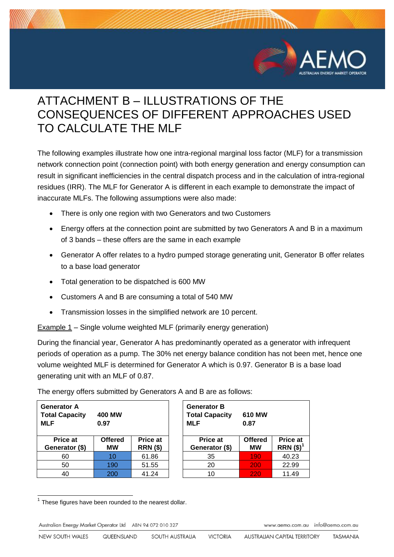



## ATTACHMENT B – ILLUSTRATIONS OF THE CONSEQUENCES OF DIFFERENT APPROACHES USED TO CALCULATE THE MLF

The following examples illustrate how one intra-regional marginal loss factor (MLF) for a transmission network connection point (connection point) with both energy generation and energy consumption can result in significant inefficiencies in the central dispatch process and in the calculation of intra-regional residues (IRR). The MLF for Generator A is different in each example to demonstrate the impact of inaccurate MLFs. The following assumptions were also made:

- There is only one region with two Generators and two Customers
- Energy offers at the connection point are submitted by two Generators A and B in a maximum of 3 bands – these offers are the same in each example
- Generator A offer relates to a hydro pumped storage generating unit, Generator B offer relates to a base load generator
- Total generation to be dispatched is 600 MW
- Customers A and B are consuming a total of 540 MW
- Transmission losses in the simplified network are 10 percent.

Example 1 – Single volume weighted MLF (primarily energy generation)

During the financial year, Generator A has predominantly operated as a generator with infrequent periods of operation as a pump. The 30% net energy balance condition has not been met, hence one volume weighted MLF is determined for Generator A which is 0.97. Generator B is a base load generating unit with an MLF of 0.87.

The energy offers submitted by Generators A and B are as follows:

| <b>Generator A</b><br><b>Total Capacity</b><br><b>MLF</b> | <b>400 MW</b><br>0.97 |                                    | <b>Generator B</b><br><b>Total Capacity</b><br><b>MLF</b> | 610 MW<br>0.87              |                                      |
|-----------------------------------------------------------|-----------------------|------------------------------------|-----------------------------------------------------------|-----------------------------|--------------------------------------|
| <b>Price at</b><br>Generator (\$)                         | <b>Offered</b><br>МW  | <b>Price at</b><br><b>RRN (\$)</b> | <b>Price at</b><br>Generator (\$)                         | <b>Offered</b><br><b>MW</b> | Price at<br>RRN $($ \$) <sup>1</sup> |
| 60                                                        | 10                    | 61.86                              | 35                                                        | 190                         | 40.23                                |
| 50                                                        | 190                   | 51.55                              | 20                                                        | 200                         | 22.99                                |
| 40                                                        | 200                   | 41.24                              | 10                                                        | 220                         | 11.49                                |

 $1$  These figures have been rounded to the nearest dollar.

 $\overline{\phantom{a}}$ 

Australian Energy Market Operator Ltd ABN 94 072 010 327

www.aemo.com.au info@aemo.com.au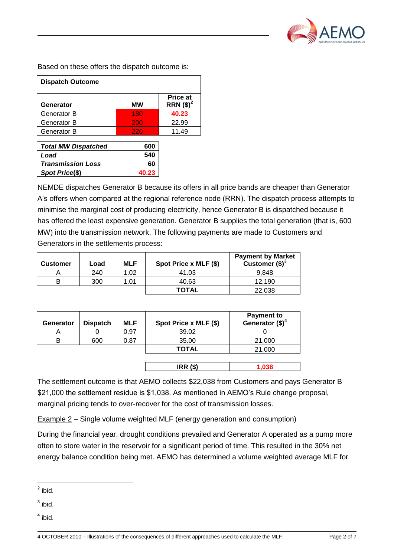

Based on these offers the dispatch outcome is:

| <b>Dispatch Outcome</b> |     |                                      |
|-------------------------|-----|--------------------------------------|
| Generator               | МW  | Price at<br>RRN $($ \$) <sup>2</sup> |
| Generator B             | 180 | 40.23                                |
| Generator B             | 200 | 22.99                                |
| Generator B             | 220 | 11.49                                |

| <b>Total MW Dispatched</b> | 600   |
|----------------------------|-------|
| Load                       | 540   |
| <b>Transmission Loss</b>   | 60    |
| Spot Price(\$)             | 40.23 |

NEMDE dispatches Generator B because its offers in all price bands are cheaper than Generator A's offers when compared at the regional reference node (RRN). The dispatch process attempts to minimise the marginal cost of producing electricity, hence Generator B is dispatched because it has offered the least expensive generation. Generator B supplies the total generation (that is, 600 MW) into the transmission network. The following payments are made to Customers and Generators in the settlements process:

| <b>Customer</b> | Load | <b>MLF</b> | Spot Price x MLF (\$) | <b>Payment by Market</b><br>Customer $(3)^3$ |
|-----------------|------|------------|-----------------------|----------------------------------------------|
|                 | 240  | 1.02       | 41.03                 | 9.848                                        |
| в               | 300  | 1.01       | 40.63                 | 12.190                                       |
|                 |      |            | <b>TOTAL</b>          | 22.038                                       |

| Generator | <b>Dispatch</b> | <b>MLF</b> | Spot Price x MLF (\$) | Payment to<br>Generator $(\$)^4$ |
|-----------|-----------------|------------|-----------------------|----------------------------------|
| Α         |                 | 0.97       | 39.02                 |                                  |
| в         | 600             | 0.87       | 35.00                 | 21,000                           |
|           |                 |            | TOTAL                 | 21,000                           |
|           |                 |            |                       |                                  |
|           |                 |            | <b>IRR (\$)</b>       | 1,038                            |

The settlement outcome is that AEMO collects \$22,038 from Customers and pays Generator B \$21,000 the settlement residue is \$1,038. As mentioned in AEMO's Rule change proposal, marginal pricing tends to over-recover for the cost of transmission losses.

Example 2 – Single volume weighted MLF (energy generation and consumption)

During the financial year, drought conditions prevailed and Generator A operated as a pump more often to store water in the reservoir for a significant period of time. This resulted in the 30% net energy balance condition being met. AEMO has determined a volume weighted average MLF for

-

 $3$  ibid.

 $<sup>4</sup>$  ibid.</sup>

 $<sup>2</sup>$  ibid.</sup>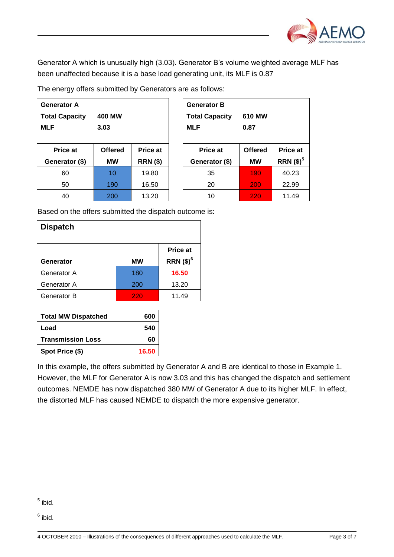

**Price at RRN (\$)<sup>5</sup>**

Generator A which is unusually high (3.03). Generator B's volume weighted average MLF has been unaffected because it is a base load generating unit, its MLF is 0.87

The energy offers submitted by Generators are as follows:

| <b>Generator A</b><br><b>Total Capacity</b><br><b>MLF</b> | <b>400 MW</b><br>3.03 |                                    | <b>Generator B</b><br><b>Total Capacity</b><br><b>MLF</b> | 610 MW<br>0.87       |                   |
|-----------------------------------------------------------|-----------------------|------------------------------------|-----------------------------------------------------------|----------------------|-------------------|
| <b>Price at</b><br>Generator (\$)                         | <b>Offered</b><br>МW  | <b>Price at</b><br><b>RRN (\$)</b> | Price at<br>Generator (\$)                                | <b>Offered</b><br>МW | Price a<br>RRN(\$ |
| 60                                                        | 10                    | 19.80                              | 35                                                        | 190                  | 40.23             |
| 50                                                        | 190                   | 16.50                              | 20                                                        | 200                  | 22.99             |
| 40                                                        | 200                   | 13.20                              | 10                                                        | 220                  | 11.49             |

Based on the offers submitted the dispatch outcome is:

| <b>Dispatch</b> |           |                                   |
|-----------------|-----------|-----------------------------------|
| Generator       | <b>MW</b> | <b>Price at</b><br>$RRN($ \$) $6$ |
| Generator A     | 180       | 16.50                             |
| Generator A     | 200       | 13.20                             |
| Generator B     | 220       | 11.49                             |

| <b>Total MW Dispatched</b> | 600   |
|----------------------------|-------|
| Load                       | 540   |
| <b>Transmission Loss</b>   | 60    |
| Spot Price (\$)            | 16.50 |

In this example, the offers submitted by Generator A and B are identical to those in Example 1. However, the MLF for Generator A is now 3.03 and this has changed the dispatch and settlement outcomes. NEMDE has now dispatched 380 MW of Generator A due to its higher MLF. In effect, the distorted MLF has caused NEMDE to dispatch the more expensive generator.

-

 $<sup>5</sup>$  ibid.</sup>

<sup>&</sup>lt;sup>6</sup> ibid.

<sup>4</sup> OCTOBER 2010 – Illustrations of the consequences of different approaches used to calculate the MLF. Page 3 of 7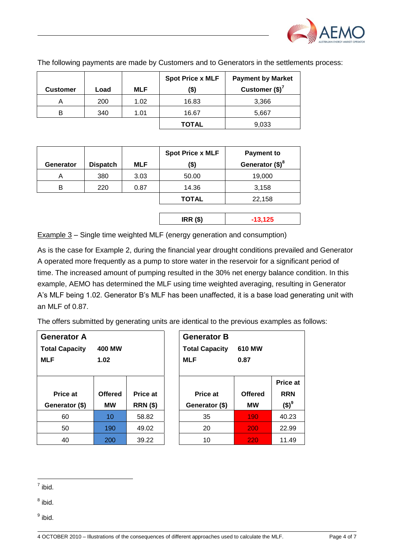

|                 |      |            | <b>Spot Price x MLF</b> | <b>Payment by Market</b> |
|-----------------|------|------------|-------------------------|--------------------------|
| <b>Customer</b> | Load | <b>MLF</b> | (\$)                    | Customer $(\$)^7$        |
| A               | 200  | 1.02       | 16.83                   | 3,366                    |
| в               | 340  | 1.01       | 16.67                   | 5,667                    |
|                 |      |            | <b>TOTAL</b>            | 9,033                    |

The following payments are made by Customers and to Generators in the settlements process:

|           |                 |            | <b>Spot Price x MLF</b> | <b>Payment to</b>  |
|-----------|-----------------|------------|-------------------------|--------------------|
| Generator | <b>Dispatch</b> | <b>MLF</b> | (\$)                    | Generator $(\$)^8$ |
| Α         | 380             | 3.03       | 50.00                   | 19,000             |
| в         | 220             | 0.87       | 14.36                   | 3,158              |
|           |                 |            | <b>TOTAL</b>            | 22,158             |
|           |                 |            |                         |                    |
|           |                 |            | $IRR($ \$)              | $-13,125$          |

Example 3 – Single time weighted MLF (energy generation and consumption)

As is the case for Example 2, during the financial year drought conditions prevailed and Generator A operated more frequently as a pump to store water in the reservoir for a significant period of time. The increased amount of pumping resulted in the 30% net energy balance condition. In this example, AEMO has determined the MLF using time weighted averaging, resulting in Generator A's MLF being 1.02. Generator B's MLF has been unaffected, it is a base load generating unit with an MLF of 0.87.

The offers submitted by generating units are identical to the previous examples as follows:

| <b>Generator A</b><br><b>Total Capacity</b><br><b>MLF</b> | <b>400 MW</b><br>1.02       |                                    | <b>Generator B</b><br><b>Total Capacity</b><br><b>MLF</b> | 610 MW<br>0.87              |                                       |
|-----------------------------------------------------------|-----------------------------|------------------------------------|-----------------------------------------------------------|-----------------------------|---------------------------------------|
| Price at<br>Generator (\$)                                | <b>Offered</b><br><b>MW</b> | <b>Price at</b><br><b>RRN</b> (\$) | Price at<br>Generator (\$)                                | <b>Offered</b><br><b>MW</b> | Price a<br><b>RRN</b><br>$($ \$) $^9$ |
| 60                                                        | 10                          | 58.82                              | 35                                                        | 190                         | 40.23                                 |
| 50                                                        | 190                         | 49.02                              | 20                                                        | 200                         | 22.99                                 |
| 40                                                        | 200                         | 39.22                              | 10                                                        | 220                         | 11.49                                 |

| <b>Generator B</b>    |                |                 |
|-----------------------|----------------|-----------------|
| <b>Total Capacity</b> | 610 MW         |                 |
| <b>MLF</b>            | 0.87           |                 |
|                       |                |                 |
|                       |                | <b>Price at</b> |
|                       |                |                 |
| <b>Price at</b>       | <b>Offered</b> | <b>RRN</b>      |
| Generator (\$)        | МW             | $($ \$) $^9$    |
| 35                    | 190            | 40.23           |
| 20                    | 200            | 22.99           |

1

<sup>8</sup> ibid.

<sup>9</sup> ibid.

 $<sup>7</sup>$  ibid.</sup>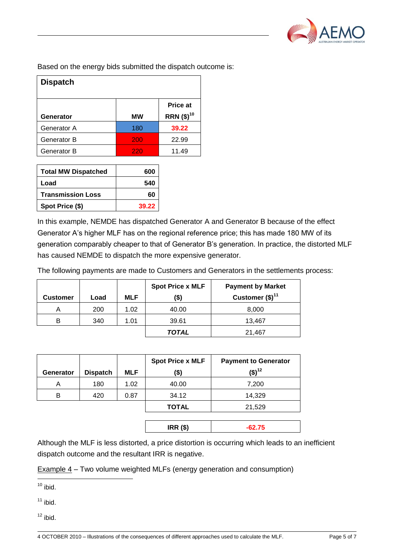

Based on the energy bids submitted the dispatch outcome is:

| <b>Dispatch</b> |     |                                    |  |  |  |
|-----------------|-----|------------------------------------|--|--|--|
| Generator       | МW  | Price at<br>RRN (\$) <sup>10</sup> |  |  |  |
| Generator A     | 180 | 39.22                              |  |  |  |
| Generator B     | 200 | 22.99                              |  |  |  |
| Generator B     | 220 | 11.49                              |  |  |  |

| <b>Total MW Dispatched</b> | 600   |
|----------------------------|-------|
| Load                       | 540   |
| <b>Transmission Loss</b>   | 60    |
| Spot Price (\$)            | 39.22 |

In this example, NEMDE has dispatched Generator A and Generator B because of the effect Generator A's higher MLF has on the regional reference price; this has made 180 MW of its generation comparably cheaper to that of Generator B's generation. In practice, the distorted MLF has caused NEMDE to dispatch the more expensive generator.

The following payments are made to Customers and Generators in the settlements process:

|          |      |            | <b>Spot Price x MLF</b> | <b>Payment by Market</b>     |
|----------|------|------------|-------------------------|------------------------------|
| Customer | Load | <b>MLF</b> | (\$)                    | Customer $(\text{$\$})^{11}$ |
| Α        | 200  | 1.02       | 40.00                   | 8,000                        |
| B        | 340  | 1.01       | 39.61                   | 13,467                       |
|          |      |            | TOTAL                   | 21,467                       |

|     |                 | <b>Spot Price x MLF</b> | <b>Payment to Generator</b> |
|-----|-----------------|-------------------------|-----------------------------|
|     |                 |                         | $$)^{12}$$                  |
| 180 | 1.02            | 40.00                   | 7,200                       |
| 420 | 0.87            | 34.12                   | 14,329                      |
|     |                 | <b>TOTAL</b>            | 21,529                      |
|     | <b>Dispatch</b> | <b>MLF</b>              | (\$)                        |

| <b>IRR (\$)</b> |  |
|-----------------|--|
|                 |  |

Although the MLF is less distorted, a price distortion is occurring which leads to an inefficient dispatch outcome and the resultant IRR is negative.

Example 4 – Two volume weighted MLFs (energy generation and consumption)

10 ibid.

1

 $11$  ibid.

 $12$  ibid.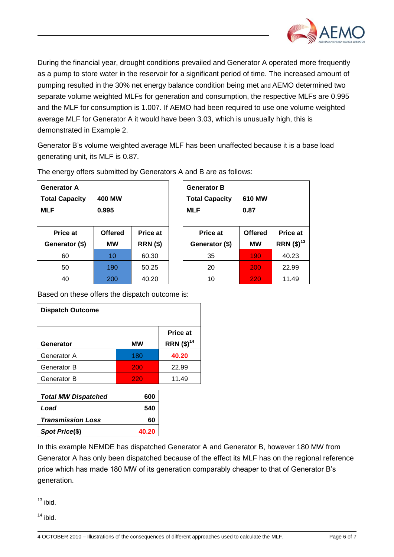

During the financial year, drought conditions prevailed and Generator A operated more frequently as a pump to store water in the reservoir for a significant period of time. The increased amount of pumping resulted in the 30% net energy balance condition being met and AEMO determined two separate volume weighted MLFs for generation and consumption, the respective MLFs are 0.995 and the MLF for consumption is 1.007. If AEMO had been required to use one volume weighted average MLF for Generator A it would have been 3.03, which is unusually high, this is demonstrated in Example 2.

Generator B's volume weighted average MLF has been unaffected because it is a base load generating unit, its MLF is 0.87.

| <b>Generator A</b><br><b>Total Capacity</b><br><b>MLF</b> | <b>400 MW</b><br>0.995 |                 | <b>Generator B</b><br><b>Total Capacity</b><br><b>MLF</b> | 610 MW<br>0.87 |                |
|-----------------------------------------------------------|------------------------|-----------------|-----------------------------------------------------------|----------------|----------------|
| Price at                                                  | <b>Offered</b>         | Price at        | <b>Price at</b>                                           | <b>Offered</b> | Price a        |
| Generator (\$)                                            | МW                     | <b>RRN</b> (\$) | Generator (\$)                                            | <b>MW</b>      | <b>RRN (\$</b> |
| 60                                                        | 10                     | 60.30           | 35                                                        | 190            | 40.23          |
| 50                                                        | 190                    | 50.25           | 20                                                        | 200            | 22.99          |
| 40                                                        | 200                    | 40.20           | 10                                                        | 220            | 11.49          |

The energy offers submitted by Generators A and B are as follows:

| <b>Generator B</b>    |                |                                  |
|-----------------------|----------------|----------------------------------|
| <b>Total Capacity</b> | 610 MW         |                                  |
| <b>MLF</b>            | 0.87           |                                  |
|                       |                |                                  |
| <b>Price at</b>       | <b>Offered</b> | Price at                         |
| Generator (\$)        | <b>MW</b>      | <b>RRN</b> $($ \$) <sup>13</sup> |
| 35                    | 190            | 40.23                            |
| 20                    | 200            | 22.99                            |
| 10                    | 220            | 11.49                            |

Based on these offers the dispatch outcome is:

| <b>Dispatch Outcome</b> |     |                                              |  |  |  |
|-------------------------|-----|----------------------------------------------|--|--|--|
| Generator               | МW  | Price at<br><b>RRN</b> $($ \$) <sup>14</sup> |  |  |  |
| Generator A             | 180 | 40.20                                        |  |  |  |
| Generator B             | 200 | 22.99                                        |  |  |  |
| Generator B             | 220 | 11.49                                        |  |  |  |

| <b>Total MW Dispatched</b> | 600   |
|----------------------------|-------|
| Load                       | 540   |
| <b>Transmission Loss</b>   | 60    |
| Spot Price(\$)             | 40.20 |

In this example NEMDE has dispatched Generator A and Generator B, however 180 MW from Generator A has only been dispatched because of the effect its MLF has on the regional reference price which has made 180 MW of its generation comparably cheaper to that of Generator B's generation.

-

 $13$  ibid.

 $14$  ibid.